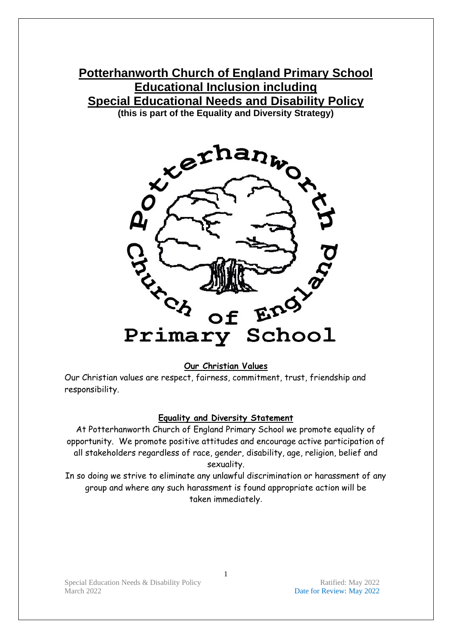# **Potterhanworth Church of England Primary School Educational Inclusion including Special Educational Needs and Disability Policy (this is part of the Equality and Diversity Strategy)**

x exhanwork Eng' Primary School

**Our Christian Values**

Our Christian values are respect, fairness, commitment, trust, friendship and responsibility.

#### **Equality and Diversity Statement**

At Potterhanworth Church of England Primary School we promote equality of opportunity. We promote positive attitudes and encourage active participation of all stakeholders regardless of race, gender, disability, age, religion, belief and sexuality.

In so doing we strive to eliminate any unlawful discrimination or harassment of any group and where any such harassment is found appropriate action will be taken immediately.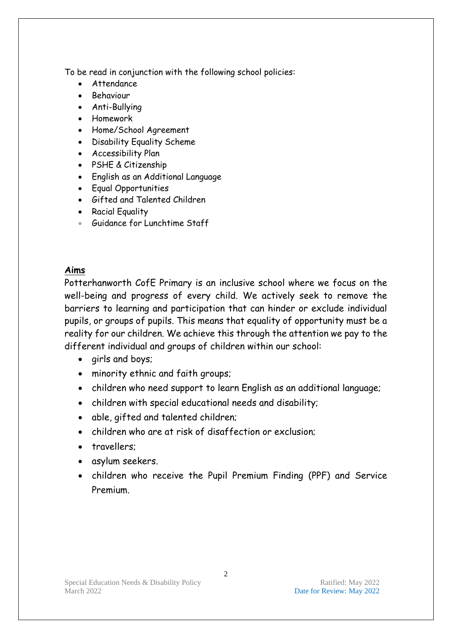To be read in conjunction with the following school policies:

- Attendance
- Behaviour
- Anti-Bullying
- Homework
- Home/School Agreement
- Disability Equality Scheme
- Accessibility Plan
- PSHE & Citizenship
- English as an Additional Language
- Equal Opportunities
- Gifted and Talented Children
- Racial Equality
- Guidance for Lunchtime Staff

### **Aims**

Potterhanworth CofE Primary is an inclusive school where we focus on the well-being and progress of every child. We actively seek to remove the barriers to learning and participation that can hinder or exclude individual pupils, or groups of pupils. This means that equality of opportunity must be a reality for our children. We achieve this through the attention we pay to the different individual and groups of children within our school:

- girls and boys;
- minority ethnic and faith groups;
- children who need support to learn English as an additional language;
- children with special educational needs and disability;
- able, gifted and talented children;
- children who are at risk of disaffection or exclusion;
- travellers;
- asylum seekers.
- children who receive the Pupil Premium Finding (PPF) and Service Premium.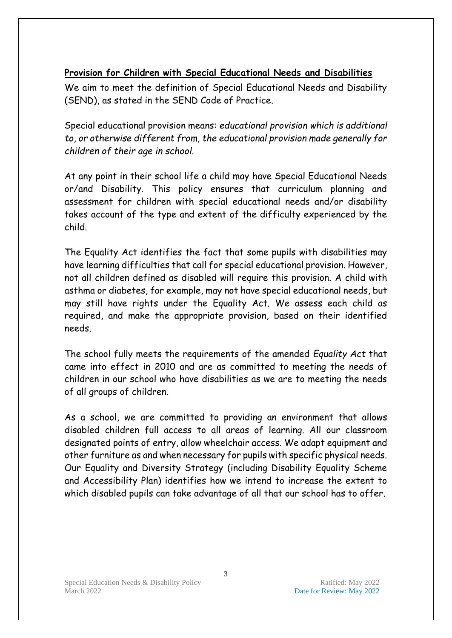## **Provision for Children with Special Educational Needs and Disabilities**

We aim to meet the definition of Special Educational Needs and Disability (SEND), as stated in the SEND Code of Practice.

Special educational provision means: *educational provision which is additional to, or otherwise different from, the educational provision made generally for children of their age in school.*

At any point in their school life a child may have Special Educational Needs or/and Disability. This policy ensures that curriculum planning and assessment for children with special educational needs and/or disability takes account of the type and extent of the difficulty experienced by the child.

The Equality Act identifies the fact that some pupils with disabilities may have learning difficulties that call for special educational provision. However, not all children defined as disabled will require this provision. A child with asthma or diabetes, for example, may not have special educational needs, but may still have rights under the Equality Act. We assess each child as required, and make the appropriate provision, based on their identified needs.

The school fully meets the requirements of the amended *Equality Act* that came into effect in 2010 and are as committed to meeting the needs of children in our school who have disabilities as we are to meeting the needs of all groups of children.

As a school, we are committed to providing an environment that allows disabled children full access to all areas of learning. All our classroom designated points of entry, allow wheelchair access. We adapt equipment and other furniture as and when necessary for pupils with specific physical needs. Our Equality and Diversity Strategy (including Disability Equality Scheme and Accessibility Plan) identifies how we intend to increase the extent to which disabled pupils can take advantage of all that our school has to offer.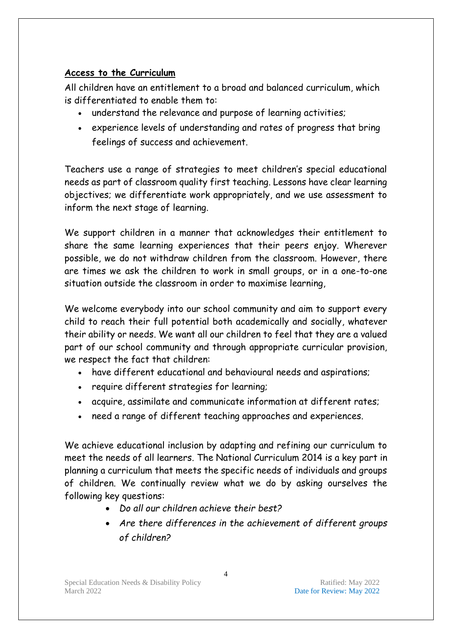# **Access to the Curriculum**

All children have an entitlement to a broad and balanced curriculum, which is differentiated to enable them to:

- understand the relevance and purpose of learning activities;
- experience levels of understanding and rates of progress that bring feelings of success and achievement.

Teachers use a range of strategies to meet children's special educational needs as part of classroom quality first teaching. Lessons have clear learning objectives; we differentiate work appropriately, and we use assessment to inform the next stage of learning.

We support children in a manner that acknowledges their entitlement to share the same learning experiences that their peers enjoy. Wherever possible, we do not withdraw children from the classroom. However, there are times we ask the children to work in small groups, or in a one-to-one situation outside the classroom in order to maximise learning,

We welcome everybody into our school community and aim to support every child to reach their full potential both academically and socially, whatever their ability or needs. We want all our children to feel that they are a valued part of our school community and through appropriate curricular provision, we respect the fact that children:

- have different educational and behavioural needs and aspirations;
- require different strategies for learning;
- acquire, assimilate and communicate information at different rates;
- need a range of different teaching approaches and experiences.

We achieve educational inclusion by adapting and refining our curriculum to meet the needs of all learners. The National Curriculum 2014 is a key part in planning a curriculum that meets the specific needs of individuals and groups of children. We continually review what we do by asking ourselves the following key questions:

- *Do all our children achieve their best?*
- *Are there differences in the achievement of different groups of children?*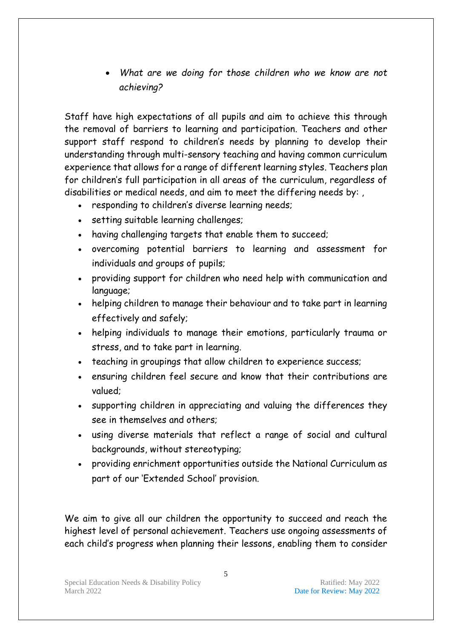• *What are we doing for those children who we know are not achieving?*

Staff have high expectations of all pupils and aim to achieve this through the removal of barriers to learning and participation. Teachers and other support staff respond to children's needs by planning to develop their understanding through multi-sensory teaching and having common curriculum experience that allows for a range of different learning styles. Teachers plan for children's full participation in all areas of the curriculum, regardless of disabilities or medical needs, and aim to meet the differing needs by: ,

- responding to children's diverse learning needs;
- setting suitable learning challenges;
- having challenging targets that enable them to succeed;
- overcoming potential barriers to learning and assessment for individuals and groups of pupils;
- providing support for children who need help with communication and language;
- helping children to manage their behaviour and to take part in learning effectively and safely;
- helping individuals to manage their emotions, particularly trauma or stress, and to take part in learning.
- teaching in groupings that allow children to experience success;
- ensuring children feel secure and know that their contributions are valued;
- supporting children in appreciating and valuing the differences they see in themselves and others;
- using diverse materials that reflect a range of social and cultural backgrounds, without stereotyping;
- providing enrichment opportunities outside the National Curriculum as part of our 'Extended School' provision.

We aim to give all our children the opportunity to succeed and reach the highest level of personal achievement. Teachers use ongoing assessments of each child's progress when planning their lessons, enabling them to consider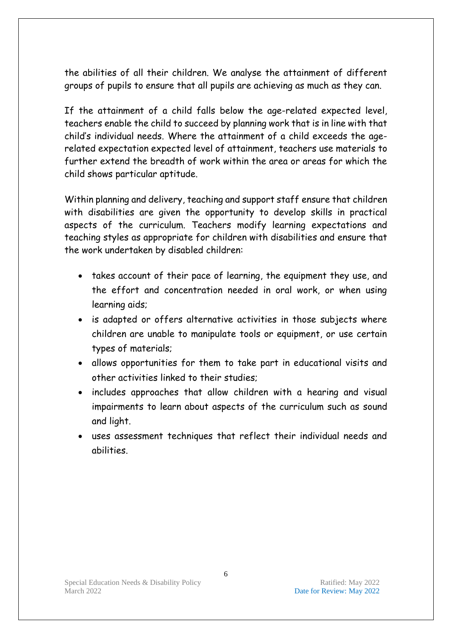the abilities of all their children. We analyse the attainment of different groups of pupils to ensure that all pupils are achieving as much as they can.

If the attainment of a child falls below the age-related expected level, teachers enable the child to succeed by planning work that is in line with that child's individual needs. Where the attainment of a child exceeds the agerelated expectation expected level of attainment, teachers use materials to further extend the breadth of work within the area or areas for which the child shows particular aptitude.

Within planning and delivery, teaching and support staff ensure that children with disabilities are given the opportunity to develop skills in practical aspects of the curriculum. Teachers modify learning expectations and teaching styles as appropriate for children with disabilities and ensure that the work undertaken by disabled children:

- takes account of their pace of learning, the equipment they use, and the effort and concentration needed in oral work, or when using learning aids;
- is adapted or offers alternative activities in those subjects where children are unable to manipulate tools or equipment, or use certain types of materials;
- allows opportunities for them to take part in educational visits and other activities linked to their studies;
- includes approaches that allow children with a hearing and visual impairments to learn about aspects of the curriculum such as sound and light.
- uses assessment techniques that reflect their individual needs and abilities.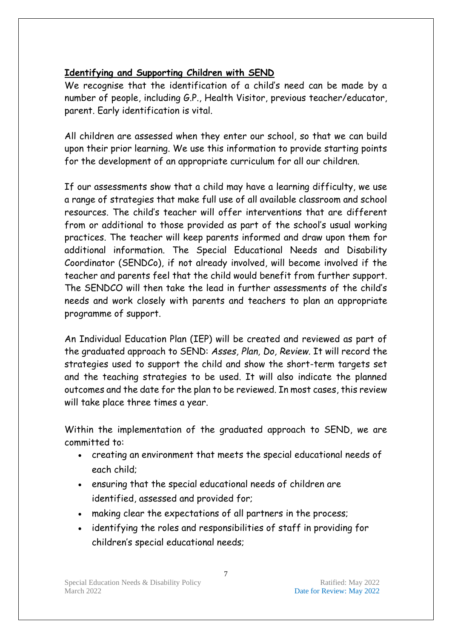# **Identifying and Supporting Children with SEND**

We recognise that the identification of a child's need can be made by a number of people, including G.P., Health Visitor, previous teacher/educator, parent. Early identification is vital.

All children are assessed when they enter our school, so that we can build upon their prior learning. We use this information to provide starting points for the development of an appropriate curriculum for all our children.

If our assessments show that a child may have a learning difficulty, we use a range of strategies that make full use of all available classroom and school resources. The child's teacher will offer interventions that are different from or additional to those provided as part of the school's usual working practices. The teacher will keep parents informed and draw upon them for additional information. The Special Educational Needs and Disability Coordinator (SENDCo), if not already involved, will become involved if the teacher and parents feel that the child would benefit from further support. The SENDCO will then take the lead in further assessments of the child's needs and work closely with parents and teachers to plan an appropriate programme of support.

An Individual Education Plan (IEP) will be created and reviewed as part of the graduated approach to SEND: *Asses, Plan, Do, Review.* It will record the strategies used to support the child and show the short-term targets set and the teaching strategies to be used. It will also indicate the planned outcomes and the date for the plan to be reviewed. In most cases, this review will take place three times a year.

Within the implementation of the graduated approach to SEND, we are committed to:

- creating an environment that meets the special educational needs of each child;
- ensuring that the special educational needs of children are identified, assessed and provided for;
- making clear the expectations of all partners in the process;
- identifying the roles and responsibilities of staff in providing for children's special educational needs;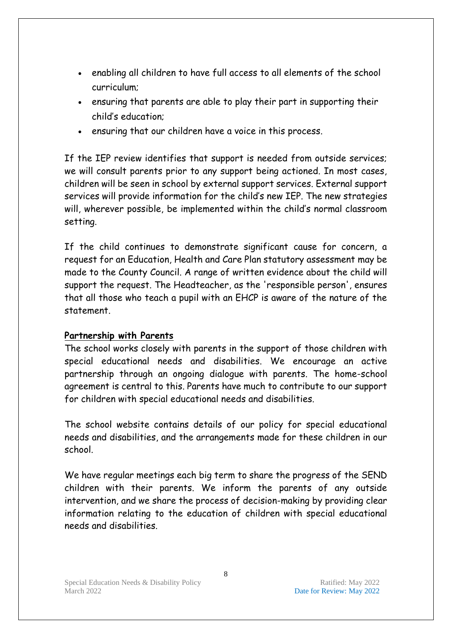- enabling all children to have full access to all elements of the school curriculum;
- ensuring that parents are able to play their part in supporting their child's education;
- ensuring that our children have a voice in this process.

If the IEP review identifies that support is needed from outside services; we will consult parents prior to any support being actioned. In most cases, children will be seen in school by external support services. External support services will provide information for the child's new IEP. The new strategies will, wherever possible, be implemented within the child's normal classroom setting.

If the child continues to demonstrate significant cause for concern, a request for an Education, Health and Care Plan statutory assessment may be made to the County Council. A range of written evidence about the child will support the request. The Headteacher, as the 'responsible person', ensures that all those who teach a pupil with an EHCP is aware of the nature of the statement.

### **Partnership with Parents**

The school works closely with parents in the support of those children with special educational needs and disabilities. We encourage an active partnership through an ongoing dialogue with parents. The home-school agreement is central to this. Parents have much to contribute to our support for children with special educational needs and disabilities.

The school website contains details of our policy for special educational needs and disabilities, and the arrangements made for these children in our school.

We have regular meetings each big term to share the progress of the SEND children with their parents. We inform the parents of any outside intervention, and we share the process of decision-making by providing clear information relating to the education of children with special educational needs and disabilities.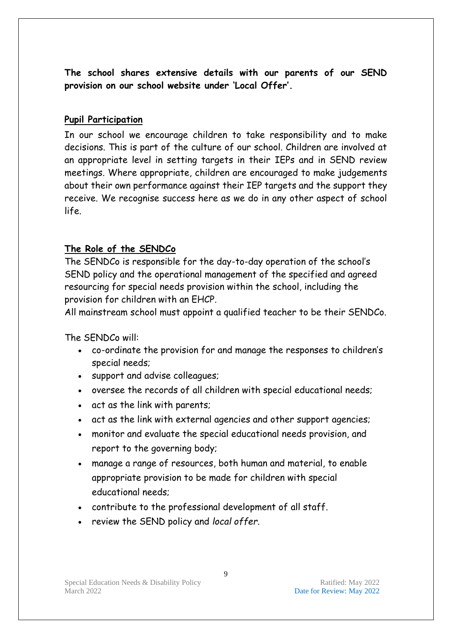**The school shares extensive details with our parents of our SEND provision on our school website under 'Local Offer'.**

### **Pupil Participation**

In our school we encourage children to take responsibility and to make decisions. This is part of the culture of our school. Children are involved at an appropriate level in setting targets in their IEPs and in SEND review meetings. Where appropriate, children are encouraged to make judgements about their own performance against their IEP targets and the support they receive. We recognise success here as we do in any other aspect of school life.

# **The Role of the SENDCo**

The SENDCo is responsible for the day-to-day operation of the school's SEND policy and the operational management of the specified and agreed resourcing for special needs provision within the school, including the provision for children with an EHCP.

All mainstream school must appoint a qualified teacher to be their SENDCo.

The SENDCo will:

- co-ordinate the provision for and manage the responses to children's special needs;
- support and advise colleagues;
- oversee the records of all children with special educational needs;
- act as the link with parents;
- act as the link with external agencies and other support agencies;
- monitor and evaluate the special educational needs provision, and report to the governing body;
- manage a range of resources, both human and material, to enable appropriate provision to be made for children with special educational needs;
- contribute to the professional development of all staff.
- review the SEND policy and *local offer*.